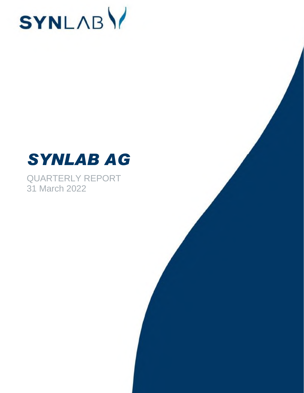

# *SYNLAB AG*

QUARTERLY REPORT 31 March 2022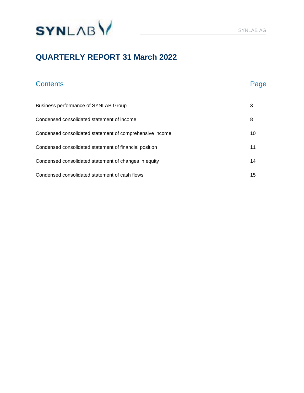

### **QUARTERLY REPORT 31 March 2022**

## Contents **Page** Business performance of SYNLAB Group 3 3 Condensed consolidated statement of income 8 Condensed consolidated statement of comprehensive income 10 Condensed consolidated statement of financial position 11 Condensed consolidated statement of changes in equity 14 Condensed consolidated statement of cash flows 15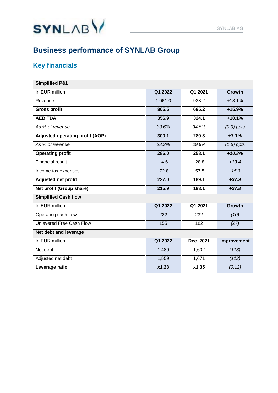

### **Key financials**

| <b>Simplified P&amp;L</b>              |         |           |               |
|----------------------------------------|---------|-----------|---------------|
| In EUR million                         | Q1 2022 | Q1 2021   | <b>Growth</b> |
| Revenue                                | 1,061.0 | 938.2     | $+13.1%$      |
| <b>Gross profit</b>                    | 805.5   | 695.2     | +15.9%        |
| <b>AEBITDA</b>                         | 356.9   | 324.1     | $+10.1%$      |
| As % of revenue                        | 33.6%   | 34.5%     | $(0.9)$ ppts  |
| <b>Adjusted operating profit (AOP)</b> | 300.1   | 280.3     | $+7.1%$       |
| As % of revenue                        | 28.3%   | 29.9%     | $(1.6)$ ppts  |
| <b>Operating profit</b>                | 286.0   | 258.1     | $+10.8%$      |
| <b>Financial result</b>                | $+4.6$  | $-28.8$   | $+33.4$       |
| Income tax expenses                    | $-72.8$ | $-57.5$   | $-15.3$       |
| <b>Adjusted net profit</b>             | 227.0   | 189.1     | $+37.9$       |
| Net profit (Group share)               | 215.9   | 188.1     | $+27.8$       |
| <b>Simplified Cash flow</b>            |         |           |               |
| In EUR million                         | Q1 2022 | Q1 2021   | <b>Growth</b> |
| Operating cash flow                    | 222     | 232       | (10)          |
| Unlevered Free Cash Flow               | 155     | 182       | (27)          |
| Net debt and leverage                  |         |           |               |
| In EUR million                         | Q1 2022 | Dec. 2021 | Improvement   |
| Net debt                               | 1,489   | 1,602     | (113)         |
| Adjusted net debt                      | 1,559   | 1,671     | (112)         |
| Leverage ratio                         | x1.23   | x1.35     | (0.12)        |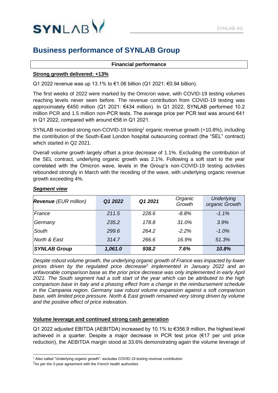

#### **Financial performance**

#### **Strong growth delivered: +13%**

Q1 2022 revenue was up 13.1% to €1.06 billion (Q1 2021: €0.94 billion).

The first weeks of 2022 were marked by the Omicron wave, with COVID-19 testing volumes reaching levels never seen before. The revenue contribution from COVID-19 testing was approximately €450 million (Q1 2021: €434 million). In Q1 2022, SYNLAB performed 10.2 million PCR and 1.5 million non-PCR tests. The average price per PCR test was around €41 in Q1 2022, compared with around €58 in Q1 2021.

SYNLAB recorded strong non-COVID-19 testing<sup>1</sup> organic revenue growth (+10.8%), including the contribution of the South-East London hospital outsourcing contract (the "SEL" contract) which started in Q2 2021.

Overall volume growth largely offset a price decrease of 1.1%. Excluding the contribution of the SEL contract, underlying organic growth was 2.1%. Following a soft start to the year correlated with the Omicron wave, levels in the Group's non-COVID-19 testing activities rebounded strongly in March with the receding of the wave, with underlying organic revenue growth exceeding 4%.

#### *Segment view*

| <b>Revenue</b> (EUR million) | Q1 2022 | Q1 2021 | Organic<br>Growth | <b>Underlying</b><br>organic Growth |
|------------------------------|---------|---------|-------------------|-------------------------------------|
| France                       | 211.5   | 228.6   | $-8.8\%$          | $-1.1\%$                            |
| Germany                      | 235.2   | 178.8   | 31.0%             | 3.9%                                |
| South                        | 299.6   | 264.2   | $-2.2\%$          | $-1.0\%$                            |
| North & East                 | 314.7   | 266.6   | 16.9%             | 51.3%                               |
| <b>SYNLAB Group</b>          | 1,061.0 | 938.2   | 7.6%              | 10.8%                               |

*Despite robust volume growth, the underlying organic growth of France was impacted by lower prices driven by the regulated price decrease*<sup>2</sup> *implemented in January 2022 and an unfavorable comparison base as the prior price decrease was only implemented in early April 2021. The South segment had a soft start of the year which can be attributed to the high comparison base in Italy and a phasing effect from a change in the reimbursement schedule in the Campania region. Germany saw robust volume expansion against a soft comparison base, with limited price pressure. North & East growth remained very strong driven by volume and the positive effect of price indexation.* 

#### **Volume leverage and continued strong cash generation**

Q1 2022 adjusted EBITDA (AEBITDA) increased by 10.1% to €356.9 million, the highest level achieved in a quarter. Despite a major decrease in PCR test price (€17 per unit price reduction), the AEBITDA margin stood at 33.6% demonstrating again the volume leverage of

<sup>&</sup>lt;sup>1</sup> Also called "Underlying organic growth": excludes COVID-19 testing revenue contribution

 $2A$ s per the 3-year agreement with the French health authorities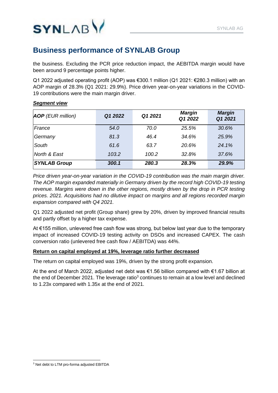

the business. Excluding the PCR price reduction impact, the AEBITDA margin would have been around 9 percentage points higher.

Q1 2022 adjusted operating profit (AOP) was €300.1 million (Q1 2021: €280.3 million) with an AOP margin of 28.3% (Q1 2021: 29.9%). Price driven year-on-year variations in the COVID-19 contributions were the main margin driver.

| <b>AOP</b> (EUR million) | Q1 2022 | Q1 2021 | <b>Margin</b><br>Q1 2022 | <b>Margin</b><br>Q1 2021 |
|--------------------------|---------|---------|--------------------------|--------------------------|
| France                   | 54.0    | 70.0    | 25.5%                    | 30.6%                    |
| Germany                  | 81.3    | 46.4    | 34.6%                    | 25.9%                    |
| South                    | 61.6    | 63.7    | 20.6%                    | 24.1%                    |
| North & East             | 103.2   | 100.2   | 32.8%                    | 37.6%                    |
| <b>SYNLAB Group</b>      | 300.1   | 280.3   | 28.3%                    | 29.9%                    |

#### *Segment view*

*Price driven year-on-year variation in the COVID-19 contribution was the main margin driver. The AOP margin expanded materially in Germany driven by the record high COVID-19 testing*  revenue. Margins were down in the other regions, mostly driven by the drop in PCR testing *prices. 2021. Acquisitions had no dilutive impact on margins and all regions recorded margin expansion compared with Q4 2021.*

Q1 2022 adjusted net profit (Group share) grew by 20%, driven by improved financial results and partly offset by a higher tax expense.

At €155 million, unlevered free cash flow was strong, but below last year due to the temporary impact of increased COVID-19 testing activity on DSOs and increased CAPEX. The cash conversion ratio (unlevered free cash flow / AEBITDA) was 44%.

#### **Return on capital employed at 19%, leverage ratio further decreased**

The return on capital employed was 19%, driven by the strong profit expansion.

At the end of March 2022, adjusted net debt was €1.56 billion compared with €1.67 billion at the end of December 2021. The leverage ratio $3$  continues to remain at a low level and declined to 1.23x compared with 1.35x at the end of 2021.

<sup>3</sup> Net debt to LTM pro-forma adjusted EBITDA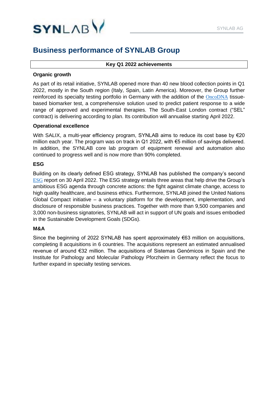

#### **Key Q1 2022 achievements**

#### **Organic growth**

As part of its retail initiative, SYNLAB opened more than 40 new blood collection points in Q1 2022, mostly in the South region (Italy, Spain, Latin America). Moreover, the Group further reinforced its specialty testing portfolio in Germany with the addition of the [OncoDNA](https://www.synlab.com/human/news/news-article/synlab-partners-with-oncodna-to-provide-comprehensive-biomarker-testing-for-cancer-therapy-selection-in-germany-124) tissuebased biomarker test, a comprehensive solution used to predict patient response to a wide range of approved and experimental therapies. The South-East London contract ("SEL" contract) is delivering according to plan. Its contribution will annualise starting April 2022.

#### **Operational excellence**

With SALIX, a multi-year efficiency program, SYNLAB aims to reduce its cost base by €20 million each year. The program was on track in Q1 2022, with €5 million of savings delivered. In addition, the SYNLAB core lab program of equipment renewal and automation also continued to progress well and is now more than 90% completed.

#### **ESG**

Building on its clearly defined ESG strategy, SYNLAB has published the company's second **[ESG](https://ag.synlab.com/fileadmin/secured_files/SYNLAB_ESG_2021_EN.pdf)** report on 30 April 2022. The ESG strategy entails three areas that help drive the Group's ambitious ESG agenda through concrete actions: the fight against climate change, access to high quality healthcare, and business ethics. Furthermore, SYNLAB joined the United Nations Global Compact initiative  $-$  a voluntary platform for the development, implementation, and disclosure of responsible business practices. Together with more than 9,500 companies and 3,000 non-business signatories, SYNLAB will act in support of UN goals and issues embodied in the Sustainable Development Goals (SDGs).

#### **M&A**

Since the beginning of 2022 SYNLAB has spent approximately  $\epsilon$ 63 million on acquisitions, completing 8 acquisitions in 6 countries. The acquisitions represent an estimated annualised revenue of around €32 million. The acquisitions of Sistemas Genómicos in Spain and the Institute for Pathology and Molecular Pathology Pforzheim in Germany reflect the focus to further expand in specialty testing services.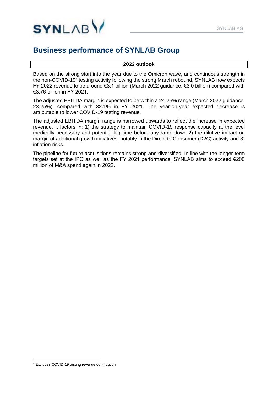

#### **2022 outlook**

Based on the strong start into the year due to the Omicron wave, and continuous strength in the non-COVID-19<sup>4</sup> testing activity following the strong March rebound, SYNLAB now expects FY 2022 revenue to be around €3.1 billion (March 2022 guidance: €3.0 billion) compared with €3.76 billion in FY 2021.

The adjusted EBITDA margin is expected to be within a 24-25% range (March 2022 guidance: 23-25%), compared with 32.1% in FY 2021. The year-on-year expected decrease is attributable to lower COVID-19 testing revenue.

The adjusted EBITDA margin range is narrowed upwards to reflect the increase in expected revenue. It factors in: 1) the strategy to maintain COVID-19 response capacity at the level medically necessary and potential lag time before any ramp down 2) the dilutive impact on margin of additional growth initiatives, notably in the Direct to Consumer (D2C) activity and 3) inflation risks.

The pipeline for future acquisitions remains strong and diversified. In line with the longer-term targets set at the IPO as well as the FY 2021 performance, SYNLAB aims to exceed €200 million of M&A spend again in 2022.

<sup>4</sup> Excludes COVID-19 testing revenue contribution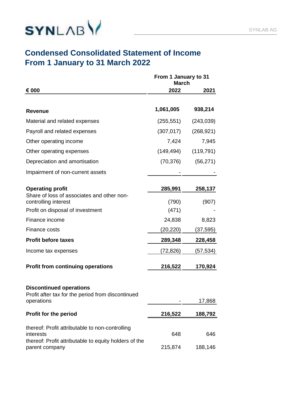

### **Condensed Consolidated Statement of Income From 1 January to 31 March 2022**

|                                                                                                   | From 1 January to 31<br><b>March</b> |                 |
|---------------------------------------------------------------------------------------------------|--------------------------------------|-----------------|
| € 000                                                                                             | 2022                                 | 2021            |
| <b>Revenue</b>                                                                                    | 1,061,005                            | 938,214         |
| Material and related expenses                                                                     | (255, 551)                           | (243,039)       |
| Payroll and related expenses                                                                      | (307, 017)                           | (268, 921)      |
| Other operating income                                                                            | 7,424                                | 7,945           |
| Other operating expenses                                                                          | (149,494)                            | (119, 791)      |
| Depreciation and amortisation                                                                     | (70, 376)                            | (56, 271)       |
| Impairment of non-current assets                                                                  |                                      |                 |
| <b>Operating profit</b>                                                                           | 285,991                              | 258,137         |
| Share of loss of associates and other non-<br>controlling interest                                | (790)                                | (907)           |
| Profit on disposal of investment                                                                  | (471)                                |                 |
| Finance income                                                                                    | 24,838                               | 8,823           |
| Finance costs                                                                                     | (20,220)                             | (37,595)        |
| <b>Profit before taxes</b>                                                                        | 289,348                              | 228,458         |
| Income tax expenses                                                                               | (72,826)                             | <u>(57,534)</u> |
| <b>Profit from continuing operations</b>                                                          | 216,522                              | 170,924         |
| <b>Discontinued operations</b><br>Profit after tax for the period from discontinued<br>operations |                                      | 17,868          |
| Profit for the period                                                                             | 216,522                              | 188,792         |
| thereof: Profit attributable to non-controlling<br>interests                                      | 648                                  | 646             |
| thereof: Profit attributable to equity holders of the<br>parent company                           | 215,874                              | 188,146         |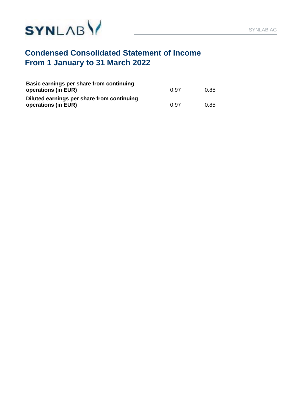



### **Condensed Consolidated Statement of Income From 1 January to 31 March 2022**

| Basic earnings per share from continuing<br>operations (in EUR)   | 0.97 | 0.85 |
|-------------------------------------------------------------------|------|------|
| Diluted earnings per share from continuing<br>operations (in EUR) | 0.97 | 0.85 |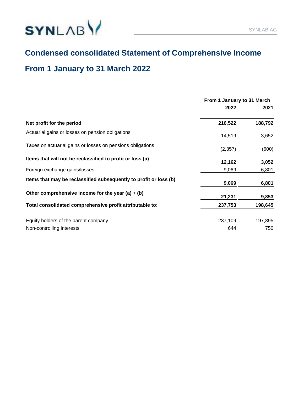

### **Condensed consolidated Statement of Comprehensive Income**

### **From 1 January to 31 March 2022**

|                                                                   | From 1 January to 31 March |         |  |
|-------------------------------------------------------------------|----------------------------|---------|--|
|                                                                   | 2022                       | 2021    |  |
| Net profit for the period                                         | 216,522                    | 188,792 |  |
| Actuarial gains or losses on pension obligations                  | 14,519                     | 3,652   |  |
| Taxes on actuarial gains or losses on pensions obligations        | (2, 357)                   | (600)   |  |
| Items that will not be reclassified to profit or loss (a)         | 12,162                     | 3,052   |  |
| Foreign exchange gains/losses                                     | 9,069                      | 6,801   |  |
| Items that may be reclassified subsequently to profit or loss (b) | 9,069                      | 6,801   |  |
| Other comprehensive income for the year (a) $+$ (b)               | 21,231                     | 9,853   |  |
| Total consolidated comprehensive profit attributable to:          | 237,753                    | 198,645 |  |
| Equity holders of the parent company                              | 237,109                    | 197,895 |  |
| Non-controlling interests                                         | 644                        | 750     |  |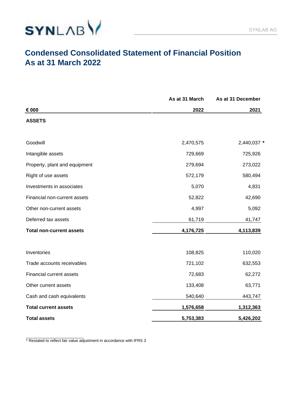



### **Condensed Consolidated Statement of Financial Position As at 31 March 2022**

|                                 | As at 31 March | As at 31 December |
|---------------------------------|----------------|-------------------|
| € 000                           | 2022           | 2021              |
| <b>ASSETS</b>                   |                |                   |
| Goodwill                        | 2,470,575      | 2,440,037 *       |
| Intangible assets               | 729,669        | 725,926           |
| Property, plant and equipment   | 279,694        | 273,022           |
| Right of use assets             | 572,179        | 580,494           |
| Investments in associates       | 5,070          | 4,831             |
| Financial non-current assets    | 52,822         | 42,690            |
| Other non-current assets        | 4,997          | 5,092             |
| Deferred tax assets             | 61,719         | 41,747            |
| <b>Total non-current assets</b> | 4,176,725      | 4,113,839         |
| Inventories                     | 108,825        | 110,020           |
| Trade accounts receivables      | 721,102        | 632,553           |
| Financial current assets        | 72,683         | 62,272            |
| Other current assets            | 133,408        | 63,771            |
| Cash and cash equivalents       | 540,640        | 443,747           |
| <b>Total current assets</b>     | 1,576,658      | 1,312,363         |
| <b>Total assets</b>             | 5,753,383      | 5,426,202         |

\* Restated to reflect fair value adjustment in accordance with IFRS 3

\_\_\_\_\_\_\_\_\_\_\_\_\_\_\_\_\_\_\_\_\_\_\_\_\_\_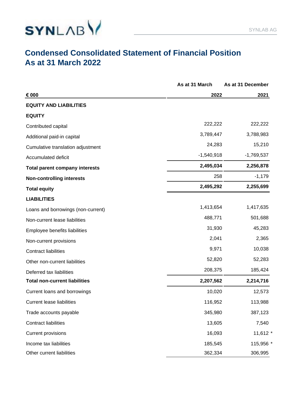

### **Condensed Consolidated Statement of Financial Position As at 31 March 2022**

|                                       | As at 31 March | As at 31 December |
|---------------------------------------|----------------|-------------------|
| € 000                                 | 2022           | 2021              |
| <b>EQUITY AND LIABILITIES</b>         |                |                   |
| <b>EQUITY</b>                         |                |                   |
| Contributed capital                   | 222,222        | 222,222           |
| Additional paid-in capital            | 3,789,447      | 3,788,983         |
| Cumulative translation adjustment     | 24,283         | 15,210            |
| Accumulated deficit                   | $-1,540,918$   | $-1,769,537$      |
| <b>Total parent company interests</b> | 2,495,034      | 2,256,878         |
| <b>Non-controlling interests</b>      | 258            | $-1,179$          |
| <b>Total equity</b>                   | 2,495,292      | 2,255,699         |
| <b>LIABILITIES</b>                    |                |                   |
| Loans and borrowings (non-current)    | 1,413,654      | 1,417,635         |
| Non-current lease liabilities         | 488,771        | 501,688           |
| Employee benefits liabilities         | 31,930         | 45,283            |
| Non-current provisions                | 2,041          | 2,365             |
| <b>Contract liabilities</b>           | 9,971          | 10,038            |
| Other non-current liabilities         | 52,820         | 52,283            |
| Deferred tax liabilities              | 208,375        | 185,424           |
| <b>Total non-current liabilities</b>  | 2,207,562      | 2,214,716         |
| Current loans and borrowings          | 10,020         | 12,573            |
| <b>Current lease liabilities</b>      | 116,952        | 113,988           |
| Trade accounts payable                | 345,980        | 387,123           |
| <b>Contract liabilities</b>           | 13,605         | 7,540             |
| <b>Current provisions</b>             | 16,093         | 11,612 *          |
| Income tax liabilities                | 185,545        | 115,956 *         |
| Other current liabilities             | 362,334        | 306,995           |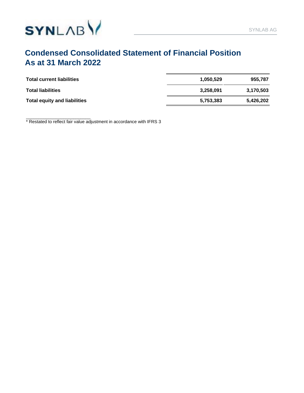

### **Condensed Consolidated Statement of Financial Position As at 31 March 2022**

| <b>Total current liabilities</b>    | 1.050.529 | 955.787   |
|-------------------------------------|-----------|-----------|
| <b>Total liabilities</b>            | 3.258.091 | 3.170.503 |
| <b>Total equity and liabilities</b> | 5,753,383 | 5.426.202 |

\_\_\_\_\_\_\_\_\_\_\_\_\_\_\_\_\_\_\_\_\_\_\_\_\_\_ \* Restated to reflect fair value adjustment in accordance with IFRS 3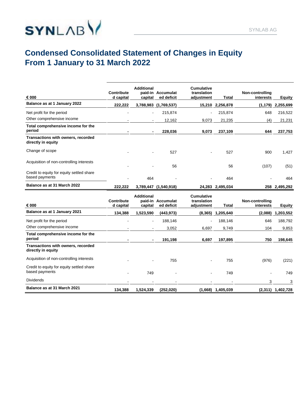

### **Condensed Consolidated Statement of Changes in Equity From 1 January to 31 March 2022**

| € 000                                                       | <b>Contribute</b><br>d capital | <b>Additional</b><br>capital            | paid-in Accumulat<br>ed deficit | Cumulative<br>translation<br>adjustment        | Total               | Non-controlling<br>interests | <b>Equity</b>       |
|-------------------------------------------------------------|--------------------------------|-----------------------------------------|---------------------------------|------------------------------------------------|---------------------|------------------------------|---------------------|
| Balance as at 1 January 2022                                | 222,222                        |                                         | 3,788,983 (1,769,537)           |                                                | 15,210 2,256,878    | (1, 179)                     | 2,255,699           |
| Net profit for the period                                   |                                |                                         | 215,874                         |                                                | 215,874             | 648                          | 216,522             |
| Other comprehensive income                                  |                                |                                         | 12,162                          | 9,073                                          | 21,235              | (4)                          | 21,231              |
| Total comprehensive income for the<br>period                |                                |                                         | 228,036                         | 9,073                                          | 237,109             | 644                          | 237,753             |
| Transactions with owners, recorded<br>directly in equity    |                                |                                         |                                 |                                                |                     |                              |                     |
| Change of scope                                             |                                |                                         | 527                             |                                                | 527                 | 900                          | 1,427               |
| Acquisition of non-controlling interests                    |                                |                                         | 56                              |                                                | 56                  | (107)                        | (51)                |
| Credit to equity for equity settled share<br>based payments |                                | 464                                     |                                 |                                                | 464                 |                              | 464                 |
| Balance as at 31 March 2022                                 | 222,222                        | 3,789,447                               | (1,540,918)                     |                                                | 24,283 2,495,034    |                              | 258 2,495,292       |
| € 000                                                       | Contribute<br>d capital        | <b>Additional</b><br>paid-in<br>capital | Accumulat<br>ed deficit         | <b>Cumulative</b><br>translation<br>adjustment | Total               | Non-controlling<br>interests | <b>Equity</b>       |
| Balance as at 1 January 2021                                | 134,388                        | 1,523,590                               | (443, 973)                      | (8, 365)                                       | 1,205,640           | (2,088)                      | 1,203,552           |
| Net profit for the period                                   |                                |                                         | 188,146                         |                                                | 188,146             | 646                          | 188,792             |
| Other comprehensive income                                  |                                |                                         | 3,052                           | 6,697                                          | 9,749               | 104                          | 9,853               |
| Total comprehensive income for the<br>period                |                                |                                         | 191,198                         | 6,697                                          | 197,895             | 750                          | 198,645             |
| Transactions with owners, recorded<br>directly in equity    |                                |                                         |                                 |                                                |                     |                              |                     |
| Acquisition of non-controlling interests                    |                                |                                         | 755                             |                                                | 755                 | (976)                        | (221)               |
| Credit to equity for equity settled share<br>based payments |                                | 749                                     |                                 |                                                | 749                 |                              | 749                 |
| <b>Dividends</b>                                            |                                |                                         |                                 |                                                |                     | 3                            | 3                   |
| Balance as at 31 March 2021                                 | 134,388                        | 1,524,339                               | (252, 020)                      |                                                | $(1,668)$ 1,405,039 |                              | $(2,311)$ 1,402,728 |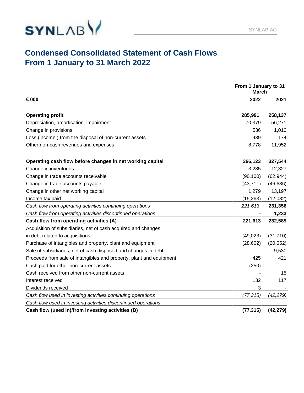

### **Condensed Consolidated Statement of Cash Flows From 1 January to 31 March 2022**

|                                                                     | From 1 January to 31<br><b>March</b> |           |
|---------------------------------------------------------------------|--------------------------------------|-----------|
| € 000                                                               | 2022                                 | 2021      |
| <b>Operating profit</b>                                             | 285,991                              | 258,137   |
| Depreciation, amortisation, impairment                              | 70,379                               | 56,271    |
| Change in provisions                                                | 536                                  | 1,010     |
| Loss (income) from the disposal of non-current assets               | 439                                  | 174       |
| Other non-cash revenues and expenses                                | 8,778                                | 11,952    |
| Operating cash flow before changes in net working capital           | 366,123                              | 327,544   |
| Change in inventories                                               | 3,285                                | 12,327    |
| Change in trade accounts receivable                                 | (90, 100)                            | (62, 944) |
| Change in trade accounts payable                                    | (43, 711)                            | (46, 686) |
| Change in other net working capital                                 | 1,279                                | 13,197    |
| Income tax paid                                                     | (15, 263)                            | (12,082)  |
| Cash flow from operating activities continuing operations           | 221,613                              | 231,356   |
| Cash flow from operating activities discontinued operations         |                                      | 1,233     |
| Cash flow from operating activities (A)                             | 221,613                              | 232,589   |
| Acquisition of subsidiaries, net of cash acquired and changes       |                                      |           |
| in debt related to acquisitions                                     | (49, 023)                            | (31, 710) |
| Purchase of intangibles and property, plant and equipment           | (28, 602)                            | (20, 652) |
| Sale of subsidiaries, net of cash disposed and changes in debt      |                                      | 9,530     |
| Proceeds from sale of intangibles and property, plant and equipment | 425                                  | 421       |
| Cash paid for other non-current assets                              | (250)                                |           |
| Cash received from other non-current assets                         |                                      | 15        |
| Interest received                                                   | 132                                  | 117       |
| Dividends received                                                  | 3                                    |           |
| Cash flow used in investing activities continuing operations        | (77,315)                             | (42, 279) |
| Cash flow used in investing activities discontinued operations      |                                      |           |
| Cash flow (used in)/from investing activities (B)                   | (77, 315)                            | (42, 279) |